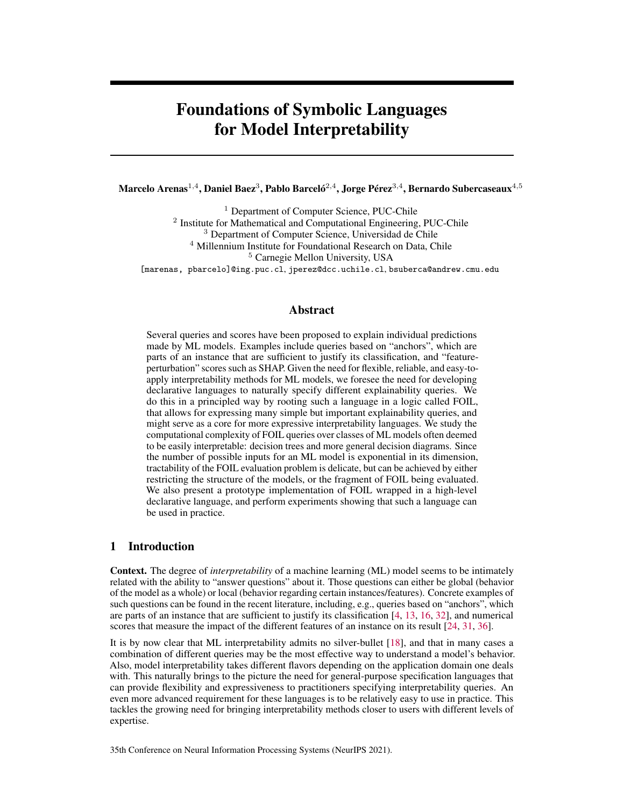# Foundations of Symbolic Languages for Model Interpretability

Marcelo Arenas $^{1,4}$ , Daniel Baez $^3$ , Pablo Barceló $^{2,4}$ , Jorge Pérez $^{3,4}$ , Bernardo Subercaseaux $^{4,5}$ 

<sup>1</sup> Department of Computer Science, PUC-Chile

<sup>2</sup> Institute for Mathematical and Computational Engineering, PUC-Chile

<sup>3</sup> Department of Computer Science, Universidad de Chile

<sup>4</sup> Millennium Institute for Foundational Research on Data, Chile

<sup>5</sup> Carnegie Mellon University, USA

[marenas, pbarcelo]@ing.puc.cl, jperez@dcc.uchile.cl, bsuberca@andrew.cmu.edu

# Abstract

Several queries and scores have been proposed to explain individual predictions made by ML models. Examples include queries based on "anchors", which are parts of an instance that are sufficient to justify its classification, and "featureperturbation" scores such as SHAP. Given the need for flexible, reliable, and easy-toapply interpretability methods for ML models, we foresee the need for developing declarative languages to naturally specify different explainability queries. We do this in a principled way by rooting such a language in a logic called FOIL, that allows for expressing many simple but important explainability queries, and might serve as a core for more expressive interpretability languages. We study the computational complexity of FOIL queries over classes of ML models often deemed to be easily interpretable: decision trees and more general decision diagrams. Since the number of possible inputs for an ML model is exponential in its dimension, tractability of the FOIL evaluation problem is delicate, but can be achieved by either restricting the structure of the models, or the fragment of FOIL being evaluated. We also present a prototype implementation of FOIL wrapped in a high-level declarative language, and perform experiments showing that such a language can be used in practice.

## <span id="page-0-0"></span>1 Introduction

Context. The degree of *interpretability* of a machine learning (ML) model seems to be intimately related with the ability to "answer questions" about it. Those questions can either be global (behavior of the model as a whole) or local (behavior regarding certain instances/features). Concrete examples of such questions can be found in the recent literature, including, e.g., queries based on "anchors", which are parts of an instance that are sufficient to justify its classification [\[4,](#page-10-0) [13,](#page-10-1) [16,](#page-10-2) [32\]](#page-11-0), and numerical scores that measure the impact of the different features of an instance on its result [\[24,](#page-10-3) [31,](#page-11-1) [36\]](#page-11-2).

It is by now clear that ML interpretability admits no silver-bullet [\[18\]](#page-10-4), and that in many cases a combination of different queries may be the most effective way to understand a model's behavior. Also, model interpretability takes different flavors depending on the application domain one deals with. This naturally brings to the picture the need for general-purpose specification languages that can provide flexibility and expressiveness to practitioners specifying interpretability queries. An even more advanced requirement for these languages is to be relatively easy to use in practice. This tackles the growing need for bringing interpretability methods closer to users with different levels of expertise.

35th Conference on Neural Information Processing Systems (NeurIPS 2021).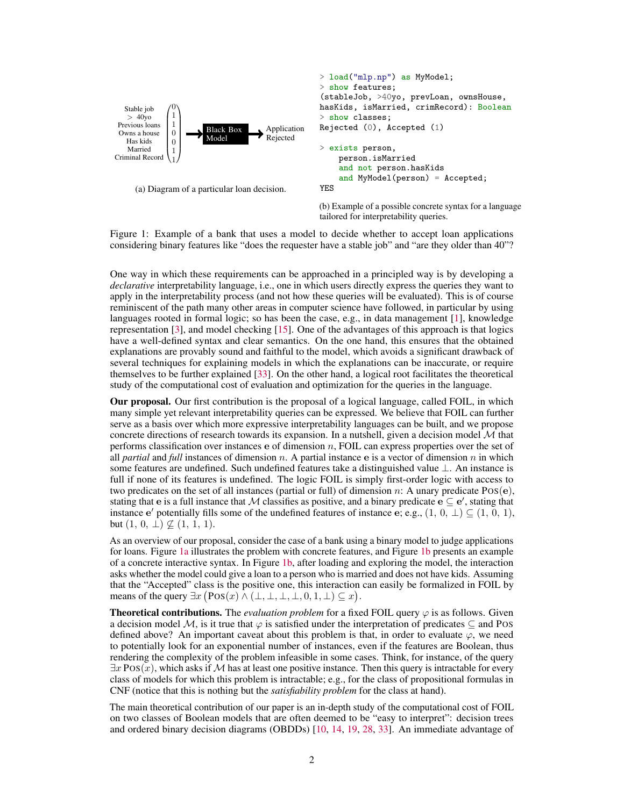```
Stable job
   > 40yo
 Previous loans
 Owns a house
   Has kids
   Married
Criminal Record
              \sqrt{ }\begin{bmatrix} 1 \\ 0 \\ 0 \\ 0 \end{bmatrix}0
                1
                1
                0
                0
                1
                1
                 ∖
                 \overline{\phantom{a}}Black Box
                          Model
                                           Application
                                           Rejected
      (a) Diagram of a particular loan decision.
                                                         > load("mlp.np") as MyModel;
                                                          > show features;
                                                          (stableJob, >40yo, prevLoan, ownsHouse,
                                                         hasKids, isMarried, crimRecord): Boolean
                                                         > show classes;
                                                         Rejected (0), Accepted (1)
                                                          > exists person,
                                                               person.isMarried
                                                               and not person.hasKids
                                                               and MyModel(person) = Accepted;
                                                          YES
                                                         (b) Example of a possible concrete syntax for a language
                                                         tailored for interpretability queries.
```
Figure 1: Example of a bank that uses a model to decide whether to accept loan applications considering binary features like "does the requester have a stable job" and "are they older than 40"?

One way in which these requirements can be approached in a principled way is by developing a *declarative* interpretability language, i.e., one in which users directly express the queries they want to apply in the interpretability process (and not how these queries will be evaluated). This is of course reminiscent of the path many other areas in computer science have followed, in particular by using languages rooted in formal logic; so has been the case, e.g., in data management [\[1\]](#page-9-0), knowledge representation [\[3\]](#page-9-1), and model checking [\[15\]](#page-10-5). One of the advantages of this approach is that logics have a well-defined syntax and clear semantics. On the one hand, this ensures that the obtained explanations are provably sound and faithful to the model, which avoids a significant drawback of several techniques for explaining models in which the explanations can be inaccurate, or require themselves to be further explained [\[33\]](#page-11-3). On the other hand, a logical root facilitates the theoretical study of the computational cost of evaluation and optimization for the queries in the language.

Our proposal. Our first contribution is the proposal of a logical language, called FOIL, in which many simple yet relevant interpretability queries can be expressed. We believe that FOIL can further serve as a basis over which more expressive interpretability languages can be built, and we propose concrete directions of research towards its expansion. In a nutshell, given a decision model  $M$  that performs classification over instances  $e$  of dimension  $n$ , FOIL can express properties over the set of all *partial* and *full* instances of dimension n. A partial instance e is a vector of dimension n in which some features are undefined. Such undefined features take a distinguished value ⊥. An instance is full if none of its features is undefined. The logic FOIL is simply first-order logic with access to two predicates on the set of all instances (partial or full) of dimension  $n$ : A unary predicate  $Pos(e)$ , stating that e is a full instance that M classifies as positive, and a binary predicate  $e \subseteq e'$ , stating that instance e' potentially fills some of the undefined features of instance e; e.g.,  $(1, 0, \perp) \subseteq (1, 0, 1)$ , but  $(1, 0, \perp) \nsubseteq (1, 1, 1).$ 

As an overview of our proposal, consider the case of a bank using a binary model to judge applications for loans. Figure [1a](#page-1-0) illustrates the problem with concrete features, and Figure [1b](#page-1-0) presents an example of a concrete interactive syntax. In Figure [1b,](#page-1-0) after loading and exploring the model, the interaction asks whether the model could give a loan to a person who is married and does not have kids. Assuming that the "Accepted" class is the positive one, this interaction can easily be formalized in FOIL by means of the query  $\exists x (Pos(x) \land (\bot, \bot, \bot, \bot, 0, 1, \bot) \subseteq x)$ .

**Theoretical contributions.** The *evaluation problem* for a fixed FOIL query  $\varphi$  is as follows. Given a decision model M, is it true that  $\varphi$  is satisfied under the interpretation of predicates  $\subset$  and POS defined above? An important caveat about this problem is that, in order to evaluate  $\varphi$ , we need to potentially look for an exponential number of instances, even if the features are Boolean, thus rendering the complexity of the problem infeasible in some cases. Think, for instance, of the query  $\exists x \text{ Pos}(x)$ , which asks if M has at least one positive instance. Then this query is intractable for every class of models for which this problem is intractable; e.g., for the class of propositional formulas in CNF (notice that this is nothing but the *satisfiability problem* for the class at hand).

The main theoretical contribution of our paper is an in-depth study of the computational cost of FOIL on two classes of Boolean models that are often deemed to be "easy to interpret": decision trees and ordered binary decision diagrams (OBDDs) [\[10,](#page-10-6) [14,](#page-10-7) [19,](#page-10-8) [28,](#page-11-4) [33\]](#page-11-3). An immediate advantage of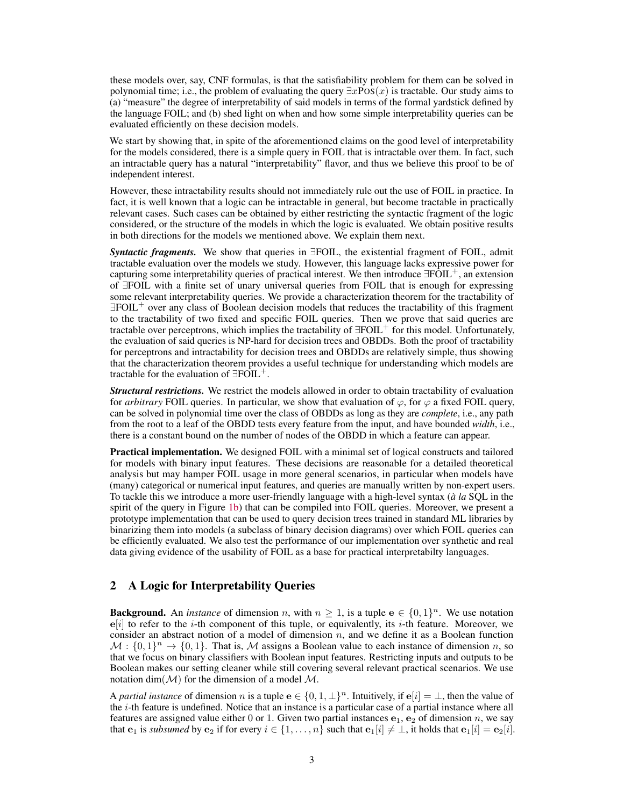these models over, say, CNF formulas, is that the satisfiability problem for them can be solved in polynomial time; i.e., the problem of evaluating the query  $\exists x \text{Pos}(x)$  is tractable. Our study aims to (a) "measure" the degree of interpretability of said models in terms of the formal yardstick defined by the language FOIL; and (b) shed light on when and how some simple interpretability queries can be evaluated efficiently on these decision models.

We start by showing that, in spite of the aforementioned claims on the good level of interpretability for the models considered, there is a simple query in FOIL that is intractable over them. In fact, such an intractable query has a natural "interpretability" flavor, and thus we believe this proof to be of independent interest.

However, these intractability results should not immediately rule out the use of FOIL in practice. In fact, it is well known that a logic can be intractable in general, but become tractable in practically relevant cases. Such cases can be obtained by either restricting the syntactic fragment of the logic considered, or the structure of the models in which the logic is evaluated. We obtain positive results in both directions for the models we mentioned above. We explain them next.

*Syntactic fragments.* We show that queries in ∃FOIL, the existential fragment of FOIL, admit tractable evaluation over the models we study. However, this language lacks expressive power for capturing some interpretability queries of practical interest. We then introduce  $\exists F\overline{OIL}^+$ , an extension of ∃FOIL with a finite set of unary universal queries from FOIL that is enough for expressing some relevant interpretability queries. We provide a characterization theorem for the tractability of ∃FOIL<sup>+</sup> over any class of Boolean decision models that reduces the tractability of this fragment to the tractability of two fixed and specific FOIL queries. Then we prove that said queries are tractable over perceptrons, which implies the tractability of  $\exists$ FOIL<sup>+</sup> for this model. Unfortunately, the evaluation of said queries is NP-hard for decision trees and OBDDs. Both the proof of tractability for perceptrons and intractability for decision trees and OBDDs are relatively simple, thus showing that the characterization theorem provides a useful technique for understanding which models are tractable for the evaluation of  $\exists$ FOIL<sup>+</sup>.

*Structural restrictions.* We restrict the models allowed in order to obtain tractability of evaluation for *arbitrary* FOIL queries. In particular, we show that evaluation of  $\varphi$ , for  $\varphi$  a fixed FOIL query, can be solved in polynomial time over the class of OBDDs as long as they are *complete*, i.e., any path from the root to a leaf of the OBDD tests every feature from the input, and have bounded *width*, i.e., there is a constant bound on the number of nodes of the OBDD in which a feature can appear.

Practical implementation. We designed FOIL with a minimal set of logical constructs and tailored for models with binary input features. These decisions are reasonable for a detailed theoretical analysis but may hamper FOIL usage in more general scenarios, in particular when models have (many) categorical or numerical input features, and queries are manually written by non-expert users. To tackle this we introduce a more user-friendly language with a high-level syntax (*à la* SQL in the spirit of the query in Figure [1b\)](#page-1-0) that can be compiled into FOIL queries. Moreover, we present a prototype implementation that can be used to query decision trees trained in standard ML libraries by binarizing them into models (a subclass of binary decision diagrams) over which FOIL queries can be efficiently evaluated. We also test the performance of our implementation over synthetic and real data giving evidence of the usability of FOIL as a base for practical interpretabilty languages.

# 2 A Logic for Interpretability Queries

**Background.** An *instance* of dimension *n*, with  $n \geq 1$ , is a tuple  $e \in \{0, 1\}^n$ . We use notation  $e[i]$  to refer to the *i*-th component of this tuple, or equivalently, its *i*-th feature. Moreover, we consider an abstract notion of a model of dimension  $n$ , and we define it as a Boolean function  $\mathcal{M}: \{0,1\}^n \to \{0,1\}.$  That is,  $\mathcal M$  assigns a Boolean value to each instance of dimension n, so that we focus on binary classifiers with Boolean input features. Restricting inputs and outputs to be Boolean makes our setting cleaner while still covering several relevant practical scenarios. We use notation dim( $\mathcal{M}$ ) for the dimension of a model  $\mathcal{M}$ .

A *partial instance* of dimension n is a tuple  $e \in \{0, 1, \perp\}^n$ . Intuitively, if  $e[i] = \perp$ , then the value of the  $i$ -th feature is undefined. Notice that an instance is a particular case of a partial instance where all features are assigned value either 0 or 1. Given two partial instances  $e_1$ ,  $e_2$  of dimension n, we say that  $e_1$  is *subsumed* by  $e_2$  if for every  $i \in \{1, \ldots, n\}$  such that  $e_1[i] \neq \bot$ , it holds that  $e_1[i] = e_2[i]$ .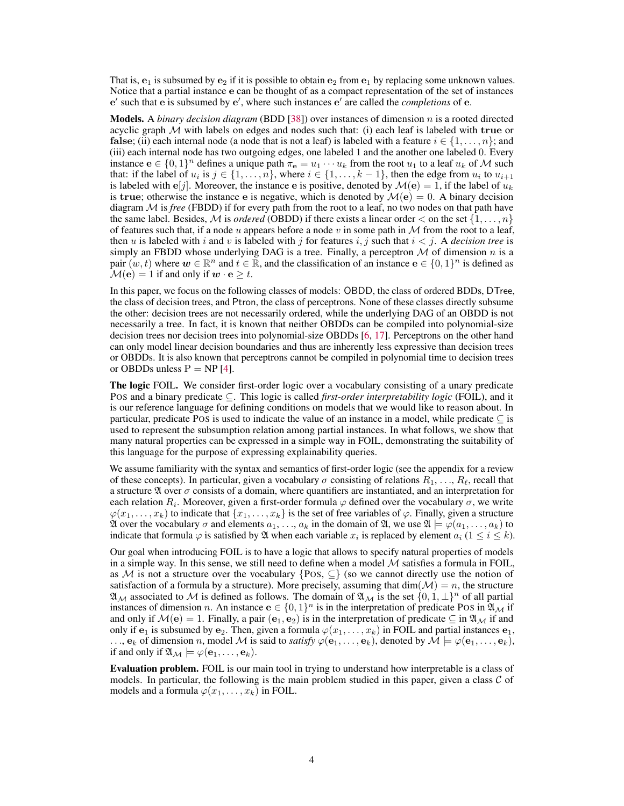That is,  $e_1$  is subsumed by  $e_2$  if it is possible to obtain  $e_2$  from  $e_1$  by replacing some unknown values. Notice that a partial instance e can be thought of as a compact representation of the set of instances e' such that e is subsumed by e', where such instances e' are called the *completions* of e.

Models. A *binary decision diagram* (BDD [\[38\]](#page-11-5)) over instances of dimension n is a rooted directed acyclic graph  $M$  with labels on edges and nodes such that: (i) each leaf is labeled with true or false; (ii) each internal node (a node that is not a leaf) is labeled with a feature  $i \in \{1, \ldots, n\}$ ; and (iii) each internal node has two outgoing edges, one labeled 1 and the another one labeled 0. Every instance  $\mathbf{e} \in \{0,1\}^n$  defines a unique path  $\pi_{\mathbf{e}} = u_1 \cdots u_k$  from the root  $u_1$  to a leaf  $u_k$  of M such that: if the label of  $u_i$  is  $j \in \{1, ..., n\}$ , where  $i \in \{1, ..., k-1\}$ , then the edge from  $u_i$  to  $u_{i+1}$ is labeled with  $\mathbf{e}[j]$ . Moreover, the instance e is positive, denoted by  $\mathcal{M}(\mathbf{e}) = 1$ , if the label of  $u_k$ is true; otherwise the instance e is negative, which is denoted by  $\mathcal{M}(e) = 0$ . A binary decision diagram M is *free* (FBDD) if for every path from the root to a leaf, no two nodes on that path have the same label. Besides, M is *ordered* (OBDD) if there exists a linear order  $\lt$  on the set  $\{1, \ldots, n\}$ of features such that, if a node u appears before a node v in some path in  $M$  from the root to a leaf, then u is labeled with i and v is labeled with j for features i, j such that  $i < j$ . A *decision tree* is simply an FBDD whose underlying DAG is a tree. Finally, a perceptron  $M$  of dimension n is a pair  $(w, t)$  where  $w \in \mathbb{R}^n$  and  $t \in \mathbb{R}$ , and the classification of an instance  $e \in \{0, 1\}^n$  is defined as  $\mathcal{M}(\mathbf{e}) = 1$  if and only if  $\mathbf{w} \cdot \mathbf{e} \geq t$ .

In this paper, we focus on the following classes of models: OBDD, the class of ordered BDDs, DTree, the class of decision trees, and Ptron, the class of perceptrons. None of these classes directly subsume the other: decision trees are not necessarily ordered, while the underlying DAG of an OBDD is not necessarily a tree. In fact, it is known that neither OBDDs can be compiled into polynomial-size decision trees nor decision trees into polynomial-size OBDDs [\[6,](#page-10-9) [17\]](#page-10-10). Perceptrons on the other hand can only model linear decision boundaries and thus are inherently less expressive than decision trees or OBDDs. It is also known that perceptrons cannot be compiled in polynomial time to decision trees or OBDDs unless  $P = NP[4]$  $P = NP[4]$ .

The logic FOIL. We consider first-order logic over a vocabulary consisting of a unary predicate POS and a binary predicate ⊆. This logic is called *first-order interpretability logic* (FOIL), and it is our reference language for defining conditions on models that we would like to reason about. In particular, predicate POS is used to indicate the value of an instance in a model, while predicate  $\subset$  is used to represent the subsumption relation among partial instances. In what follows, we show that many natural properties can be expressed in a simple way in FOIL, demonstrating the suitability of this language for the purpose of expressing explainability queries.

We assume familiarity with the syntax and semantics of first-order logic (see the appendix for a review of these concepts). In particular, given a vocabulary  $\sigma$  consisting of relations  $R_1, \ldots, R_\ell$ , recall that a structure  $\mathfrak A$  over  $\sigma$  consists of a domain, where quantifiers are instantiated, and an interpretation for each relation  $R_i.$  Moreover, given a first-order formula  $\varphi$  defined over the vocabulary  $\sigma,$  we write  $\varphi(x_1,\ldots,x_k)$  to indicate that  $\{x_1,\ldots,x_k\}$  is the set of free variables of  $\varphi$ . Finally, given a structure  $\mathfrak A$  over the vocabulary  $\sigma$  and elements  $a_1, \ldots, a_k$  in the domain of  $\mathfrak A$ , we use  $\mathfrak A \models \varphi(a_1, \ldots, a_k)$  to indicate that formula  $\varphi$  is satisfied by  $\mathfrak A$  when each variable  $x_i$  is replaced by element  $a_i$  ( $1 \leq i \leq k$ ).

Our goal when introducing FOIL is to have a logic that allows to specify natural properties of models in a simple way. In this sense, we still need to define when a model  $M$  satisfies a formula in FOIL, as M is not a structure over the vocabulary {POS,  $\subseteq$ } (so we cannot directly use the notion of satisfaction of a formula by a structure). More precisely, assuming that  $\dim(\mathcal{M}) = n$ , the structure  $\mathfrak{A}_M$  associated to M is defined as follows. The domain of  $\mathfrak{A}_M$  is the set  $\{0,1,\perp\}^n$  of all partial instances of dimension n. An instance  $e \in \{0,1\}^n$  is in the interpretation of predicate POS in  $\mathfrak{A}_M$  if and only if  $\mathcal{M}(e) = 1$ . Finally, a pair  $(e_1, e_2)$  is in the interpretation of predicate  $\subseteq$  in  $\mathfrak{A}_{\mathcal{M}}$  if and only if  $e_1$  is subsumed by  $e_2$ . Then, given a formula  $\varphi(x_1, \ldots, x_k)$  in FOIL and partial instances  $e_1$ ,  $\ldots$ ,  $\mathbf{e}_k$  of dimension n, model M is said to *satisfy*  $\varphi(\mathbf{e}_1, \ldots, \mathbf{e}_k)$ , denoted by  $\mathcal{M} \models \varphi(\mathbf{e}_1, \ldots, \mathbf{e}_k)$ , if and only if  $\mathfrak{A}_M \models \varphi(\mathbf{e}_1,\ldots,\mathbf{e}_k)$ .

Evaluation problem. FOIL is our main tool in trying to understand how interpretable is a class of models. In particular, the following is the main problem studied in this paper, given a class  $\mathcal C$  of models and a formula  $\varphi(x_1, \ldots, x_k)$  in FOIL.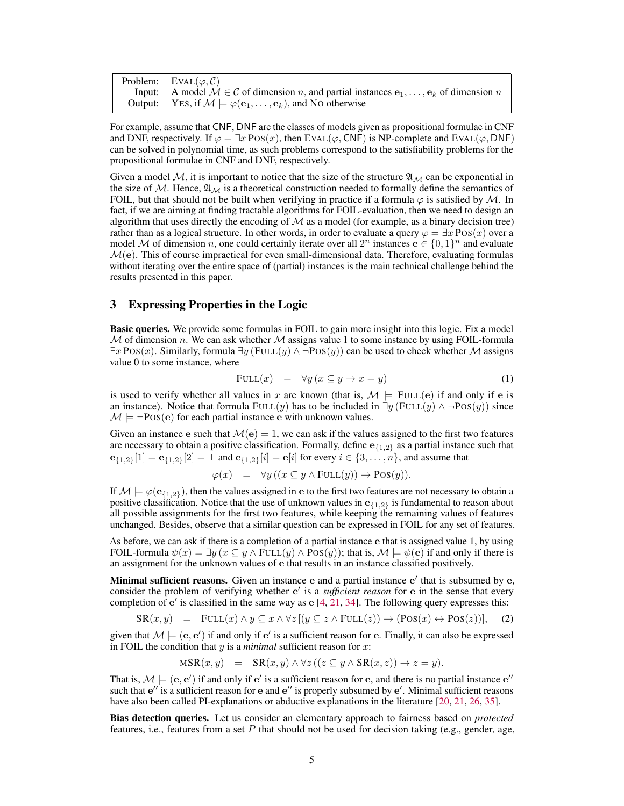| Problem: EVAL $(\varphi, C)$                                                                               |
|------------------------------------------------------------------------------------------------------------|
| Input: A model $M \in \mathcal{C}$ of dimension n, and partial instances $e_1, \ldots, e_k$ of dimension n |
| Output: YES, if $M \models \varphi(e_1, \ldots, e_k)$ , and NO otherwise                                   |

For example, assume that CNF, DNF are the classes of models given as propositional formulae in CNF and DNF, respectively. If  $\varphi = \exists x \text{ Pos}(x)$ , then EVAL( $\varphi$ , CNF) is NP-complete and EVAL( $\varphi$ , DNF) can be solved in polynomial time, as such problems correspond to the satisfiability problems for the propositional formulae in CNF and DNF, respectively.

Given a model M, it is important to notice that the size of the structure  $\mathfrak{A}_M$  can be exponential in the size of M. Hence,  $\mathfrak{A}_M$  is a theoretical construction needed to formally define the semantics of FOIL, but that should not be built when verifying in practice if a formula  $\varphi$  is satisfied by M. In fact, if we are aiming at finding tractable algorithms for FOIL-evaluation, then we need to design an algorithm that uses directly the encoding of  $M$  as a model (for example, as a binary decision tree) rather than as a logical structure. In other words, in order to evaluate a query  $\varphi = \exists x \text{ Pos}(x)$  over a model M of dimension n, one could certainly iterate over all  $2^n$  instances  $e \in \{0, 1\}^n$  and evaluate  $\mathcal{M}(\mathbf{e})$ . This of course impractical for even small-dimensional data. Therefore, evaluating formulas without iterating over the entire space of (partial) instances is the main technical challenge behind the results presented in this paper.

# <span id="page-4-2"></span>3 Expressing Properties in the Logic

Basic queries. We provide some formulas in FOIL to gain more insight into this logic. Fix a model  $M$  of dimension n. We can ask whether  $M$  assigns value 1 to some instance by using FOIL-formula  $\exists x \text{ Pos}(x)$ . Similarly, formula  $\exists y$  (FULL $(y) \land \neg \text{Pos}(y)$ ) can be used to check whether M assigns value 0 to some instance, where

<span id="page-4-0"></span>
$$
FULL(x) = \forall y \left( x \subseteq y \to x = y \right) \tag{1}
$$

is used to verify whether all values in x are known (that is,  $\mathcal{M} \models$  FULL(e) if and only if e is an instance). Notice that formula FULL(y) has to be included in  $\exists y$  (FULL(y)  $\land \neg Pos(y)$ ) since  $M \models \neg Pos(e)$  for each partial instance e with unknown values.

Given an instance e such that  $\mathcal{M}(e) = 1$ , we can ask if the values assigned to the first two features are necessary to obtain a positive classification. Formally, define  $e_{1,2}$  as a partial instance such that  ${\bf e}_{\{1,2\}}[1] = {\bf e}_{\{1,2\}}[2] = \perp$  and  ${\bf e}_{\{1,2\}}[i] = {\bf e}[i]$  for every  $i \in \{3, \ldots, n\}$ , and assume that

$$
\varphi(x) = \forall y ((x \subseteq y \land \text{FULL}(y)) \to \text{Pos}(y)).
$$

If  $M \models \varphi(e_{\{1,2\}})$ , then the values assigned in e to the first two features are not necessary to obtain a positive classification. Notice that the use of unknown values in  $e_{1,2}$  is fundamental to reason about all possible assignments for the first two features, while keeping the remaining values of features unchanged. Besides, observe that a similar question can be expressed in FOIL for any set of features.

As before, we can ask if there is a completion of a partial instance e that is assigned value 1, by using FOIL-formula  $\psi(x) = \exists y \ (x \subseteq y \land \text{FULL}(y) \land \text{POS}(y));$  that is,  $\mathcal{M} \models \psi(e)$  if and only if there is an assignment for the unknown values of e that results in an instance classified positively.

Minimal sufficient reasons. Given an instance e and a partial instance e' that is subsumed by e, consider the problem of verifying whether e' is a *sufficient reason* for e in the sense that every completion of  $e'$  is classified in the same way as  $e$  [\[4,](#page-10-0) [21,](#page-10-11) [34\]](#page-11-6). The following query expresses this:

<span id="page-4-1"></span>
$$
SR(x, y) = \text{FULL}(x) \land y \subseteq x \land \forall z [(y \subseteq z \land \text{FULL}(z)) \to (\text{Pos}(x) \leftrightarrow \text{Pos}(z))], \quad (2)
$$

given that  $M \models (e, e')$  if and only if  $e'$  is a sufficient reason for e. Finally, it can also be expressed in FOIL the condition that y is a *minimal* sufficient reason for x:

$$
MSR(x, y) = SR(x, y) \land \forall z ((z \subseteq y \land SR(x, z)) \rightarrow z = y).
$$

That is,  $M \models (e, e')$  if and only if  $e'$  is a sufficient reason for e, and there is no partial instance  $e''$ such that  $e''$  is a sufficient reason for e and  $e''$  is properly subsumed by  $e'$ . Minimal sufficient reasons have also been called PI-explanations or abductive explanations in the literature [\[20,](#page-10-12) [21,](#page-10-11) [26,](#page-10-13) [35\]](#page-11-7).

Bias detection queries. Let us consider an elementary approach to fairness based on *protected* features, i.e., features from a set  $P$  that should not be used for decision taking (e.g., gender, age,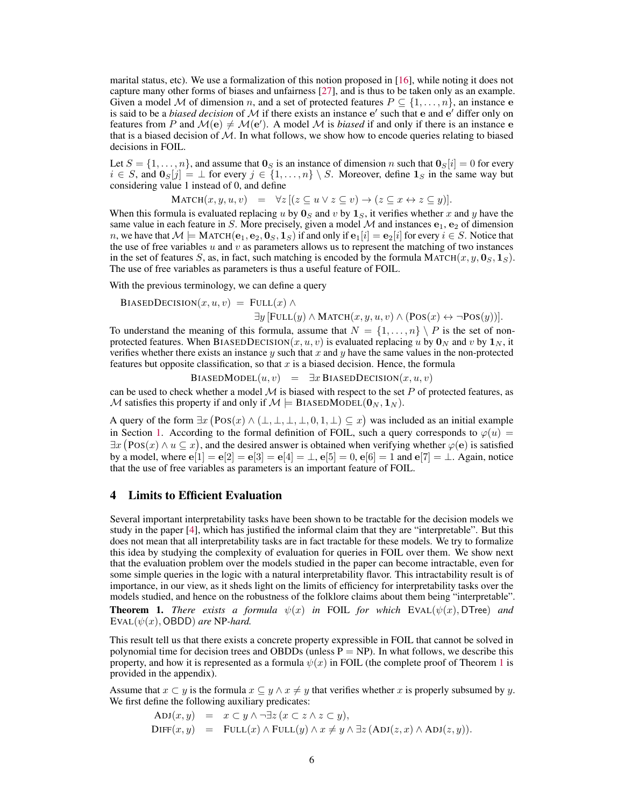marital status, etc). We use a formalization of this notion proposed in [\[16\]](#page-10-2), while noting it does not capture many other forms of biases and unfairness [\[27\]](#page-11-8), and is thus to be taken only as an example. Given a model M of dimension n, and a set of protected features  $P \subseteq \{1, \ldots, n\}$ , an instance e is said to be a *biased decision* of  $M$  if there exists an instance  $e'$  such that  $e$  and  $e'$  differ only on features from P and  $\mathcal{M}(e) \neq \mathcal{M}(e')$ . A model M is *biased* if and only if there is an instance e that is a biased decision of  $M$ . In what follows, we show how to encode queries relating to biased decisions in FOIL.

Let  $S = \{1, \ldots, n\}$ , and assume that  $\mathbf{0}_S$  is an instance of dimension n such that  $\mathbf{0}_S[i] = 0$  for every  $i \in S$ , and  $\mathbf{0}_{S}[j] = \perp$  for every  $j \in \{1, \ldots, n\} \setminus S$ . Moreover, define  $\mathbf{1}_{S}$  in the same way but considering value 1 instead of 0, and define

$$
\text{MATCH}(x, y, u, v) = \forall z [(z \subseteq u \lor z \subseteq v) \to (z \subseteq x \leftrightarrow z \subseteq y)].
$$

When this formula is evaluated replacing u by  $\mathbf{0}_S$  and v by  $\mathbf{1}_S$ , it verifies whether x and y have the same value in each feature in S. More precisely, given a model  $M$  and instances  $e_1$ ,  $e_2$  of dimension n, we have that  $M \models$  MATCH $(e_1, e_2, 0_S, 1_S)$  if and only if  $e_1[i] = e_2[i]$  for every  $i \in S$ . Notice that the use of free variables  $u$  and  $v$  as parameters allows us to represent the matching of two instances in the set of features S, as, in fact, such matching is encoded by the formula MATCH(x, y,  $\mathbf{0}_S$ ,  $\mathbf{1}_S$ ). The use of free variables as parameters is thus a useful feature of FOIL.

With the previous terminology, we can define a query

BIASEDDECISION
$$
(x, u, v)
$$
 = FULL $(x) \land$   

$$
\exists y \, [\text{FULL}(y) \land \text{MATCH}(x, y, u, v) \land (\text{Pos}(x) \leftrightarrow \neg \text{Pos}(y))].
$$

To understand the meaning of this formula, assume that  $N = \{1, \ldots, n\} \setminus P$  is the set of nonprotected features. When BIASEDDECISION(x, u, v) is evaluated replacing u by  $\mathbf{0}_N$  and v by  $\mathbf{1}_N$ , it verifies whether there exists an instance  $y$  such that  $x$  and  $y$  have the same values in the non-protected features but opposite classification, so that  $x$  is a biased decision. Hence, the formula

BIASEDMODEL $(u, v)$  =  $\exists x$  BIASEDDECISION $(x, u, v)$ 

can be used to check whether a model  $M$  is biased with respect to the set  $P$  of protected features, as M satisfies this property if and only if  $M \models$  BIASEDMODEL $(0_N, 1_N)$ .

A query of the form  $\exists x (Pos(x) \land (\bot, \bot, \bot, \bot, 0, 1, \bot) \subseteq x)$  was included as an initial example in Section [1.](#page-0-0) According to the formal definition of FOIL, such a query corresponds to  $\varphi(u)$  =  $\exists x (Pos(x) \land u \subseteq x)$ , and the desired answer is obtained when verifying whether  $\varphi(e)$  is satisfied by a model, where  $e[1] = e[2] = e[3] = e[4] = \perp$ ,  $e[5] = 0$ ,  $e[6] = 1$  and  $e[7] = \perp$ . Again, notice that the use of free variables as parameters is an important feature of FOIL.

## 4 Limits to Efficient Evaluation

Several important interpretability tasks have been shown to be tractable for the decision models we study in the paper [\[4\]](#page-10-0), which has justified the informal claim that they are "interpretable". But this does not mean that all interpretability tasks are in fact tractable for these models. We try to formalize this idea by studying the complexity of evaluation for queries in FOIL over them. We show next that the evaluation problem over the models studied in the paper can become intractable, even for some simple queries in the logic with a natural interpretability flavor. This intractability result is of importance, in our view, as it sheds light on the limits of efficiency for interpretability tasks over the models studied, and hence on the robustness of the folklore claims about them being "interpretable".

<span id="page-5-0"></span>**Theorem 1.** *There exists a formula*  $\psi(x)$  *in* FOIL *for which* EVAL( $\psi(x)$ , DTree) *and*  $EVAL(\psi(x), OBDD)$  *are* NP-*hard.* 

This result tell us that there exists a concrete property expressible in FOIL that cannot be solved in polynomial time for decision trees and OBDDs (unless  $P = NP$ ). In what follows, we describe this property, and how it is represented as a formula  $\psi(x)$  in FOIL (the complete proof of Theorem [1](#page-5-0) is provided in the appendix).

Assume that  $x \subseteq y$  is the formula  $x \subseteq y \land x \neq y$  that verifies whether x is properly subsumed by y. We first define the following auxiliary predicates:

$$
ADJ(x, y) = x \subset y \land \neg \exists z (x \subset z \land z \subset y),
$$
  
\n
$$
DIFF(x, y) = FULL(x) \land FULL(y) \land x \neq y \land \exists z (ADJ(z, x) \land ADJ(z, y)).
$$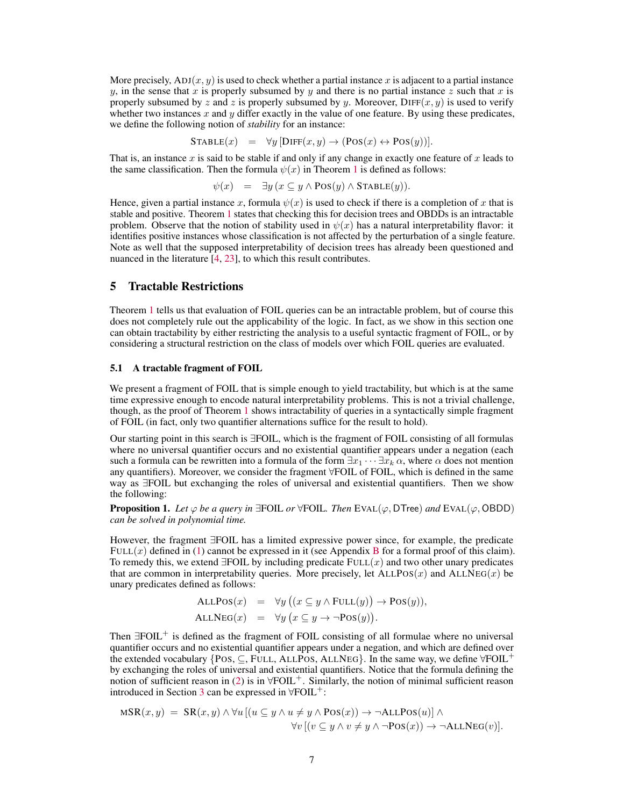More precisely,  $ADJ(x, y)$  is used to check whether a partial instance x is adjacent to a partial instance y, in the sense that x is properly subsumed by y and there is no partial instance z such that x is properly subsumed by z and z is properly subsumed by y. Moreover,  $\text{DIFF}(x, y)$  is used to verify whether two instances  $x$  and  $y$  differ exactly in the value of one feature. By using these predicates, we define the following notion of *stability* for an instance:

$$
STABLE(x) = \forall y [DIFF(x, y) \rightarrow (Pos(x) \leftrightarrow Pos(y))].
$$

That is, an instance x is said to be stable if and only if any change in exactly one feature of x leads to the same classification. Then the formula  $\psi(x)$  in Theorem [1](#page-5-0) is defined as follows:

$$
\psi(x) = \exists y \, (x \subseteq y \land \text{POS}(y) \land \text{STABLE}(y)).
$$

Hence, given a partial instance x, formula  $\psi(x)$  is used to check if there is a completion of x that is stable and positive. Theorem [1](#page-5-0) states that checking this for decision trees and OBDDs is an intractable problem. Observe that the notion of stability used in  $\psi(x)$  has a natural interpretability flavor: it identifies positive instances whose classification is not affected by the perturbation of a single feature. Note as well that the supposed interpretability of decision trees has already been questioned and nuanced in the literature [\[4,](#page-10-0) [23\]](#page-10-14), to which this result contributes.

# 5 Tractable Restrictions

Theorem [1](#page-5-0) tells us that evaluation of FOIL queries can be an intractable problem, but of course this does not completely rule out the applicability of the logic. In fact, as we show in this section one can obtain tractability by either restricting the analysis to a useful syntactic fragment of FOIL, or by considering a structural restriction on the class of models over which FOIL queries are evaluated.

## <span id="page-6-0"></span>5.1 A tractable fragment of FOIL

We present a fragment of FOIL that is simple enough to yield tractability, but which is at the same time expressive enough to encode natural interpretability problems. This is not a trivial challenge, though, as the proof of Theorem [1](#page-5-0) shows intractability of queries in a syntactically simple fragment of FOIL (in fact, only two quantifier alternations suffice for the result to hold).

Our starting point in this search is ∃FOIL, which is the fragment of FOIL consisting of all formulas where no universal quantifier occurs and no existential quantifier appears under a negation (each such a formula can be rewritten into a formula of the form  $\exists x_1 \cdots \exists x_k \alpha$ , where  $\alpha$  does not mention any quantifiers). Moreover, we consider the fragment ∀FOIL of FOIL, which is defined in the same way as ∃FOIL but exchanging the roles of universal and existential quantifiers. Then we show the following:

**Proposition 1.** *Let*  $\varphi$  *be a query in* ∃FOIL *or*  $\forall$ FOIL*. Then* EVAL( $\varphi$ , DTree) *and* EVAL( $\varphi$ , OBDD) *can be solved in polynomial time.*

However, the fragment ∃FOIL has a limited expressive power since, for example, the predicate FULL $(x)$  defined in [\(1\)](#page-4-0) cannot be expressed in it (see Appendix [B](#page--1-0) for a formal proof of this claim). To remedy this, we extend  $\exists$ FOIL by including predicate  $FULL(x)$  and two other unary predicates that are common in interpretability queries. More precisely, let  $ALLPOS(x)$  and  $ALLNEG(x)$  be unary predicates defined as follows:

$$
ALLPos(x) = \forall y ((x \subseteq y \land FULL(y)) \rightarrow Pos(y)),
$$
  

$$
ALLNEG(x) = \forall y (x \subseteq y \rightarrow \neg Pos(y)).
$$

Then  $\exists$ FOIL<sup>+</sup> is defined as the fragment of FOIL consisting of all formulae where no universal quantifier occurs and no existential quantifier appears under a negation, and which are defined over the extended vocabulary {POS,  $\subseteq$ , FULL, ALLPOS, ALLNEG}. In the same way, we define  $\forall$ FOIL<sup>+</sup> by exchanging the roles of universal and existential quantifiers. Notice that the formula defining the notion of sufficient reason in [\(2\)](#page-4-1) is in  $\forall$ FOIL<sup>+</sup>. Similarly, the notion of minimal sufficient reason introduced in Section [3](#page-4-2) can be expressed in  $\forall$ FOIL<sup>+</sup>:

$$
MSR(x,y) = SR(x,y) \land \forall u [(u \subseteq y \land u \neq y \land Pos(x)) \rightarrow \neg ALLPos(u)] \land \forall v [(v \subseteq y \land v \neq y \land \neg Pos(x)) \rightarrow \neg ALLNEG(v)].
$$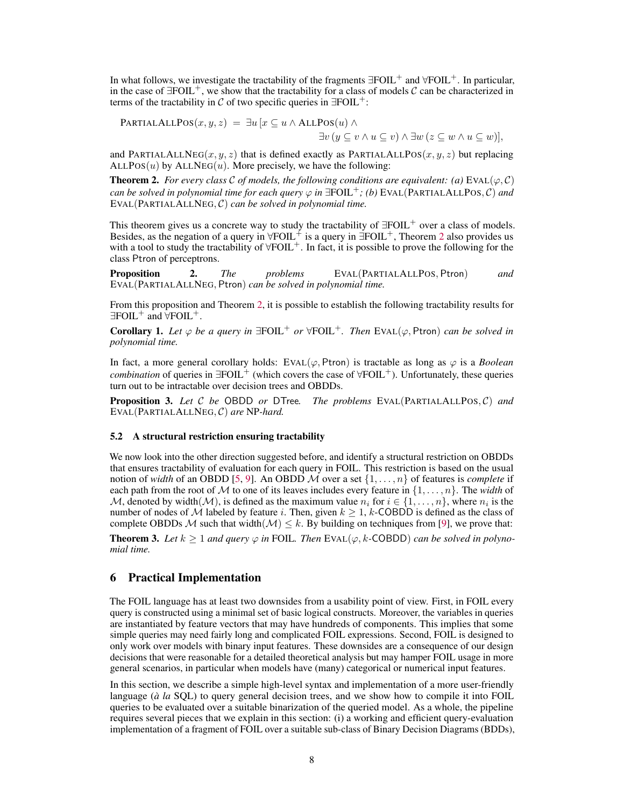In what follows, we investigate the tractability of the fragments  $\exists$ FOIL<sup>+</sup> and  $\forall$ FOIL<sup>+</sup>. In particular, in the case of  $\exists$ FOIL<sup>+</sup>, we show that the tractability for a class of models C can be characterized in terms of the tractability in C of two specific queries in  $\exists$ FOIL<sup>+</sup>:

**PARTIALALLPOS**
$$
(x, y, z) = \exists u [x \subseteq u \land \text{ALLPOS}(u) \land \exists v (y \subseteq v \land u \subseteq v) \land \exists w (z \subseteq w \land u \subseteq w)],
$$

and PARTIALALLNEG(x, y, z) that is defined exactly as PARTIALALLPOS(x, y, z) but replacing  $ALLPOS(u)$  by  $ALLNEG(u)$ . More precisely, we have the following:

<span id="page-7-0"></span>**Theorem 2.** *For every class* C *of models, the following conditions are equivalent: (a)* EVAL( $\varphi$ , C) *can be solved in polynomial time for each query*  $\varphi$  *in*  $\exists$ FOIL<sup>+</sup>; *(b)* EVAL(PARTIALALLPOS, *C) and* EVAL(PARTIALALLNEG, C) *can be solved in polynomial time.*

This theorem gives us a concrete way to study the tractability of  $\exists \text{FOIL}^+$  over a class of models. Besides, as the negation of a query in  $\forall$ FOIL<sup>+</sup> is a query in  $\exists$ FOIL<sup>+</sup>, Theorem [2](#page-7-0) also provides us with a tool to study the tractability of  $\forall$ FOIL<sup>+</sup>. In fact, it is possible to prove the following for the class Ptron of perceptrons.

Proposition 2. *The problems* EVAL(PARTIALALLPOS, Ptron) *and* EVAL(PARTIALALLNEG, Ptron) *can be solved in polynomial time.*

From this proposition and Theorem [2,](#page-7-0) it is possible to establish the following tractability results for  $\exists$ FOIL<sup>+</sup> and  $\forall$ FOIL<sup>+</sup>.

**Corollary 1.** Let  $\varphi$  be a query in  $\exists$ FOIL<sup>+</sup> or  $\forall$ FOIL<sup>+</sup>. Then EVAL( $\varphi$ , Ptron) *can be solved in polynomial time.*

In fact, a more general corollary holds: EVAL( $\varphi$ , Ptron) is tractable as long as  $\varphi$  is a *Boolean combination* of queries in  $\exists$ FOIL<sup>+</sup> (which covers the case of  $\forall$ FOIL<sup>+</sup>). Unfortunately, these queries turn out to be intractable over decision trees and OBDDs.

Proposition 3. *Let* C *be* OBDD *or* DTree*. The problems* EVAL(PARTIALALLPOS, C) *and* EVAL(PARTIALALLNEG, C) *are* NP*-hard.*

#### 5.2 A structural restriction ensuring tractability

We now look into the other direction suggested before, and identify a structural restriction on OBDDs that ensures tractability of evaluation for each query in FOIL. This restriction is based on the usual notion of *width* of an OBDD [\[5,](#page-10-15) [9\]](#page-10-16). An OBDD M over a set  $\{1, \ldots, n\}$  of features is *complete* if each path from the root of M to one of its leaves includes every feature in  $\{1, \ldots, n\}$ . The *width* of M, denoted by width $(M)$ , is defined as the maximum value  $n_i$  for  $i \in \{1, ..., n\}$ , where  $n_i$  is the number of nodes of M labeled by feature i. Then, given  $k > 1$ , k-COBDD is defined as the class of complete OBDDs M such that width( $\mathcal{M}$ )  $\leq k$ . By building on techniques from [\[9\]](#page-10-16), we prove that:

**Theorem 3.** Let  $k > 1$  and query  $\varphi$  in FOIL. Then EVAL( $\varphi$ , k-COBDD) can be solved in polyno*mial time.*

# 6 Practical Implementation

The FOIL language has at least two downsides from a usability point of view. First, in FOIL every query is constructed using a minimal set of basic logical constructs. Moreover, the variables in queries are instantiated by feature vectors that may have hundreds of components. This implies that some simple queries may need fairly long and complicated FOIL expressions. Second, FOIL is designed to only work over models with binary input features. These downsides are a consequence of our design decisions that were reasonable for a detailed theoretical analysis but may hamper FOIL usage in more general scenarios, in particular when models have (many) categorical or numerical input features.

In this section, we describe a simple high-level syntax and implementation of a more user-friendly language (*à la* SQL) to query general decision trees, and we show how to compile it into FOIL queries to be evaluated over a suitable binarization of the queried model. As a whole, the pipeline requires several pieces that we explain in this section: (i) a working and efficient query-evaluation implementation of a fragment of FOIL over a suitable sub-class of Binary Decision Diagrams (BDDs),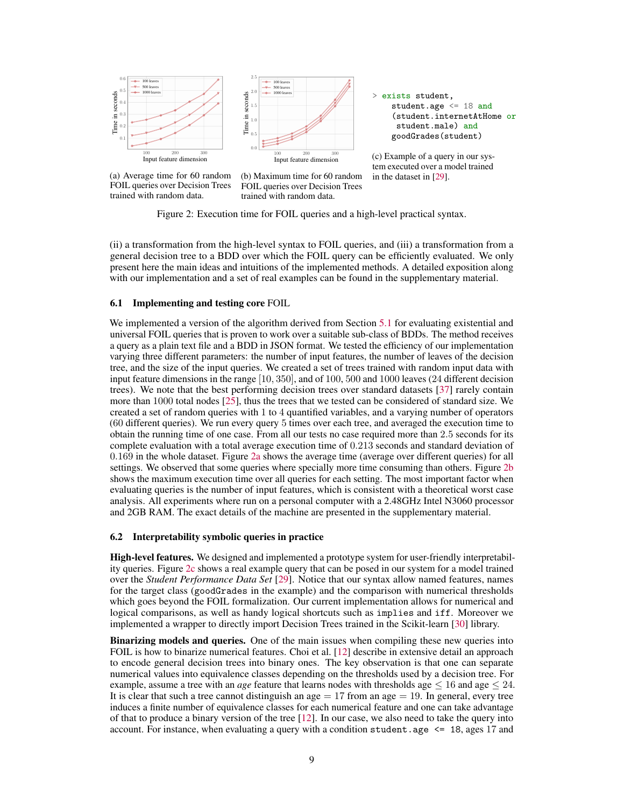<span id="page-8-0"></span>



(c) Example of a query in our system executed over a model trained in the dataset in [\[29\]](#page-11-9).

(a) Average time for 60 random FOIL queries over Decision Trees trained with random data.

(b) Maximum time for 60 random FOIL queries over Decision Trees trained with random data.

Figure 2: Execution time for FOIL queries and a high-level practical syntax.

(ii) a transformation from the high-level syntax to FOIL queries, and (iii) a transformation from a general decision tree to a BDD over which the FOIL query can be efficiently evaluated. We only present here the main ideas and intuitions of the implemented methods. A detailed exposition along with our implementation and a set of real examples can be found in the supplementary material.

#### 6.1 Implementing and testing core FOIL

We implemented a version of the algorithm derived from Section [5.1](#page-6-0) for evaluating existential and universal FOIL queries that is proven to work over a suitable sub-class of BDDs. The method receives a query as a plain text file and a BDD in JSON format. We tested the efficiency of our implementation varying three different parameters: the number of input features, the number of leaves of the decision tree, and the size of the input queries. We created a set of trees trained with random input data with input feature dimensions in the range [10, 350], and of 100, 500 and 1000 leaves (24 different decision trees). We note that the best performing decision trees over standard datasets [\[37\]](#page-11-10) rarely contain more than 1000 total nodes [\[25\]](#page-10-17), thus the trees that we tested can be considered of standard size. We created a set of random queries with 1 to 4 quantified variables, and a varying number of operators (60 different queries). We run every query 5 times over each tree, and averaged the execution time to obtain the running time of one case. From all our tests no case required more than 2.5 seconds for its complete evaluation with a total average execution time of 0.213 seconds and standard deviation of 0.169 in the whole dataset. Figure [2a](#page-8-0) shows the average time (average over different queries) for all settings. We observed that some queries where specially more time consuming than others. Figure [2b](#page-8-0) shows the maximum execution time over all queries for each setting. The most important factor when evaluating queries is the number of input features, which is consistent with a theoretical worst case analysis. All experiments where run on a personal computer with a 2.48GHz Intel N3060 processor and 2GB RAM. The exact details of the machine are presented in the supplementary material.

#### 6.2 Interpretability symbolic queries in practice

High-level features. We designed and implemented a prototype system for user-friendly interpretability queries. Figure [2c](#page-8-0) shows a real example query that can be posed in our system for a model trained over the *Student Performance Data Set* [\[29\]](#page-11-9). Notice that our syntax allow named features, names for the target class (goodGrades in the example) and the comparison with numerical thresholds which goes beyond the FOIL formalization. Our current implementation allows for numerical and logical comparisons, as well as handy logical shortcuts such as implies and iff. Moreover we implemented a wrapper to directly import Decision Trees trained in the Scikit-learn [\[30\]](#page-11-11) library.

Binarizing models and queries. One of the main issues when compiling these new queries into FOIL is how to binarize numerical features. Choi et al. [\[12\]](#page-10-18) describe in extensive detail an approach to encode general decision trees into binary ones. The key observation is that one can separate numerical values into equivalence classes depending on the thresholds used by a decision tree. For example, assume a tree with an *age* feature that learns nodes with thresholds age  $\leq 16$  and age  $\leq 24$ . It is clear that such a tree cannot distinguish an age  $= 17$  from an age  $= 19$ . In general, every tree induces a finite number of equivalence classes for each numerical feature and one can take advantage of that to produce a binary version of the tree [\[12\]](#page-10-18). In our case, we also need to take the query into account. For instance, when evaluating a query with a condition student.age  $\leq 18$ , ages 17 and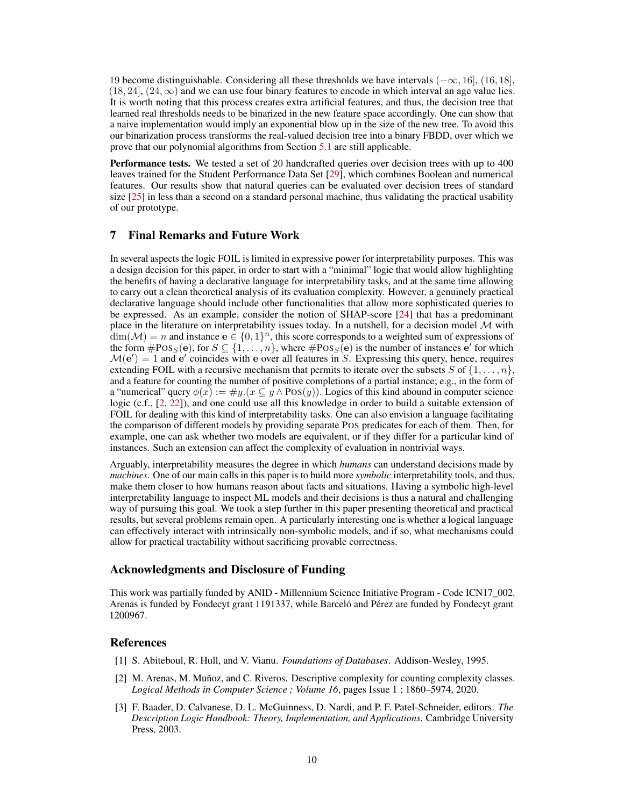19 become distinguishable. Considering all these thresholds we have intervals  $(-\infty, 16]$ ,  $(16, 18]$ ,  $(18, 24]$ ,  $(24, \infty)$  and we can use four binary features to encode in which interval an age value lies. It is worth noting that this process creates extra artificial features, and thus, the decision tree that learned real thresholds needs to be binarized in the new feature space accordingly. One can show that a naive implementation would imply an exponential blow up in the size of the new tree. To avoid this our binarization process transforms the real-valued decision tree into a binary FBDD, over which we prove that our polynomial algorithms from Section [5.1](#page-6-0) are still applicable.

Performance tests. We tested a set of 20 handcrafted queries over decision trees with up to 400 leaves trained for the Student Performance Data Set [\[29\]](#page-11-9), which combines Boolean and numerical features. Our results show that natural queries can be evaluated over decision trees of standard size [\[25\]](#page-10-17) in less than a second on a standard personal machine, thus validating the practical usability of our prototype.

# 7 Final Remarks and Future Work

In several aspects the logic FOIL is limited in expressive power for interpretability purposes. This was a design decision for this paper, in order to start with a "minimal" logic that would allow highlighting the benefits of having a declarative language for interpretability tasks, and at the same time allowing to carry out a clean theoretical analysis of its evaluation complexity. However, a genuinely practical declarative language should include other functionalities that allow more sophisticated queries to be expressed. As an example, consider the notion of SHAP-score [\[24\]](#page-10-3) that has a predominant place in the literature on interpretability issues today. In a nutshell, for a decision model  $M$  with  $\dim(\mathcal{M}) = n$  and instance  $e \in \{0,1\}^n$ , this score corresponds to a weighted sum of expressions of the form  $\#\text{Pos}_S(e)$ , for  $S \subseteq \{1, ..., n\}$ , where  $\#\text{Pos}_S(e)$  is the number of instances  $e'$  for which  $\mathcal{M}(\mathbf{e}') = 1$  and  $\mathbf{e}'$  coincides with  $\mathbf{e}$  over all features in S. Expressing this query, hence, requires extending FOIL with a recursive mechanism that permits to iterate over the subsets S of  $\{1, \ldots, n\}$ , and a feature for counting the number of positive completions of a partial instance; e.g., in the form of a "numerical" query  $\phi(x) := \#y \cdot (x \subseteq y \land \text{Pos}(y))$ . Logics of this kind abound in computer science logic (c.f., [\[2,](#page-9-2) [22\]](#page-10-19)), and one could use all this knowledge in order to build a suitable extension of FOIL for dealing with this kind of interpretability tasks. One can also envision a language facilitating the comparison of different models by providing separate POS predicates for each of them. Then, for example, one can ask whether two models are equivalent, or if they differ for a particular kind of instances. Such an extension can affect the complexity of evaluation in nontrivial ways.

Arguably, interpretability measures the degree in which *humans* can understand decisions made by *machines*. One of our main calls in this paper is to build more *symbolic* interpretability tools, and thus, make them closer to how humans reason about facts and situations. Having a symbolic high-level interpretability language to inspect ML models and their decisions is thus a natural and challenging way of pursuing this goal. We took a step further in this paper presenting theoretical and practical results, but several problems remain open. A particularly interesting one is whether a logical language can effectively interact with intrinsically non-symbolic models, and if so, what mechanisms could allow for practical tractability without sacrificing provable correctness.

## Acknowledgments and Disclosure of Funding

This work was partially funded by ANID - Millennium Science Initiative Program - Code ICN17\_002. Arenas is funded by Fondecyt grant 1191337, while Barceló and Pérez are funded by Fondecyt grant 1200967.

# **References**

- <span id="page-9-0"></span>[1] S. Abiteboul, R. Hull, and V. Vianu. *Foundations of Databases*. Addison-Wesley, 1995.
- <span id="page-9-2"></span>[2] M. Arenas, M. Muñoz, and C. Riveros. Descriptive complexity for counting complexity classes. *Logical Methods in Computer Science ; Volume 16*, pages Issue 1 ; 1860–5974, 2020.
- <span id="page-9-1"></span>[3] F. Baader, D. Calvanese, D. L. McGuinness, D. Nardi, and P. F. Patel-Schneider, editors. *The Description Logic Handbook: Theory, Implementation, and Applications*. Cambridge University Press, 2003.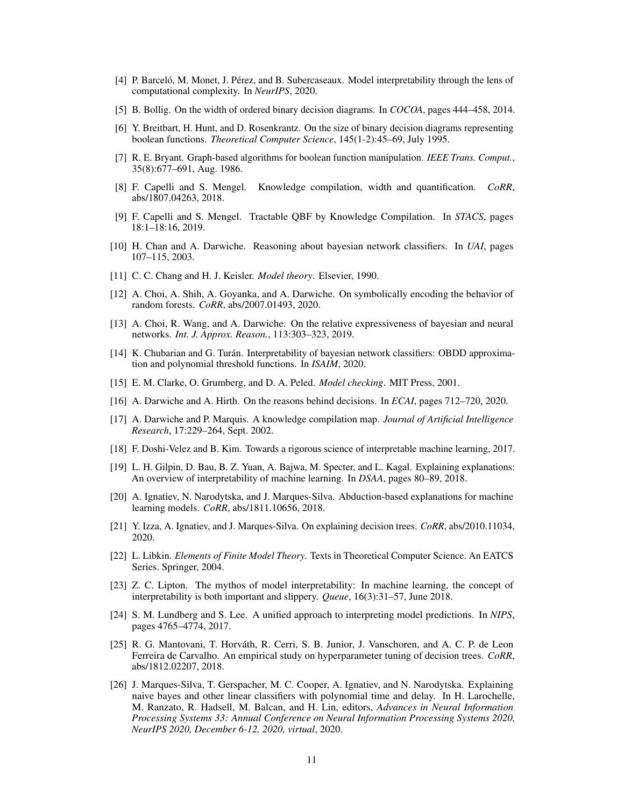- <span id="page-10-0"></span>[4] P. Barceló, M. Monet, J. Pérez, and B. Subercaseaux. Model interpretability through the lens of computational complexity. In *NeurIPS*, 2020.
- <span id="page-10-15"></span>[5] B. Bollig. On the width of ordered binary decision diagrams. In *COCOA*, pages 444–458, 2014.
- <span id="page-10-9"></span>[6] Y. Breitbart, H. Hunt, and D. Rosenkrantz. On the size of binary decision diagrams representing boolean functions. *Theoretical Computer Science*, 145(1-2):45–69, July 1995.
- [7] R. E. Bryant. Graph-based algorithms for boolean function manipulation. *IEEE Trans. Comput.*, 35(8):677–691, Aug. 1986.
- [8] F. Capelli and S. Mengel. Knowledge compilation, width and quantification. *CoRR*, abs/1807.04263, 2018.
- <span id="page-10-16"></span>[9] F. Capelli and S. Mengel. Tractable QBF by Knowledge Compilation. In *STACS*, pages 18:1–18:16, 2019.
- <span id="page-10-6"></span>[10] H. Chan and A. Darwiche. Reasoning about bayesian network classifiers. In *UAI*, pages 107–115, 2003.
- [11] C. C. Chang and H. J. Keisler. *Model theory*. Elsevier, 1990.
- <span id="page-10-18"></span>[12] A. Choi, A. Shih, A. Goyanka, and A. Darwiche. On symbolically encoding the behavior of random forests. *CoRR*, abs/2007.01493, 2020.
- <span id="page-10-1"></span>[13] A. Choi, R. Wang, and A. Darwiche. On the relative expressiveness of bayesian and neural networks. *Int. J. Approx. Reason.*, 113:303–323, 2019.
- <span id="page-10-7"></span>[14] K. Chubarian and G. Turán. Interpretability of bayesian network classifiers: OBDD approximation and polynomial threshold functions. In *ISAIM*, 2020.
- <span id="page-10-5"></span>[15] E. M. Clarke, O. Grumberg, and D. A. Peled. *Model checking*. MIT Press, 2001.
- <span id="page-10-2"></span>[16] A. Darwiche and A. Hirth. On the reasons behind decisions. In *ECAI*, pages 712–720, 2020.
- <span id="page-10-10"></span>[17] A. Darwiche and P. Marquis. A knowledge compilation map. *Journal of Artificial Intelligence Research*, 17:229–264, Sept. 2002.
- <span id="page-10-4"></span>[18] F. Doshi-Velez and B. Kim. Towards a rigorous science of interpretable machine learning, 2017.
- <span id="page-10-8"></span>[19] L. H. Gilpin, D. Bau, B. Z. Yuan, A. Bajwa, M. Specter, and L. Kagal. Explaining explanations: An overview of interpretability of machine learning. In *DSAA*, pages 80–89, 2018.
- <span id="page-10-12"></span>[20] A. Ignatiev, N. Narodytska, and J. Marques-Silva. Abduction-based explanations for machine learning models. *CoRR*, abs/1811.10656, 2018.
- <span id="page-10-11"></span>[21] Y. Izza, A. Ignatiev, and J. Marques-Silva. On explaining decision trees. *CoRR*, abs/2010.11034, 2020.
- <span id="page-10-19"></span>[22] L. Libkin. *Elements of Finite Model Theory*. Texts in Theoretical Computer Science. An EATCS Series. Springer, 2004.
- <span id="page-10-14"></span>[23] Z. C. Lipton. The mythos of model interpretability: In machine learning, the concept of interpretability is both important and slippery. *Queue*, 16(3):31–57, June 2018.
- <span id="page-10-3"></span>[24] S. M. Lundberg and S. Lee. A unified approach to interpreting model predictions. In *NIPS*, pages 4765–4774, 2017.
- <span id="page-10-17"></span>[25] R. G. Mantovani, T. Horváth, R. Cerri, S. B. Junior, J. Vanschoren, and A. C. P. de Leon Ferreira de Carvalho. An empirical study on hyperparameter tuning of decision trees. *CoRR*, abs/1812.02207, 2018.
- <span id="page-10-13"></span>[26] J. Marques-Silva, T. Gerspacher, M. C. Cooper, A. Ignatiev, and N. Narodytska. Explaining naive bayes and other linear classifiers with polynomial time and delay. In H. Larochelle, M. Ranzato, R. Hadsell, M. Balcan, and H. Lin, editors, *Advances in Neural Information Processing Systems 33: Annual Conference on Neural Information Processing Systems 2020, NeurIPS 2020, December 6-12, 2020, virtual*, 2020.